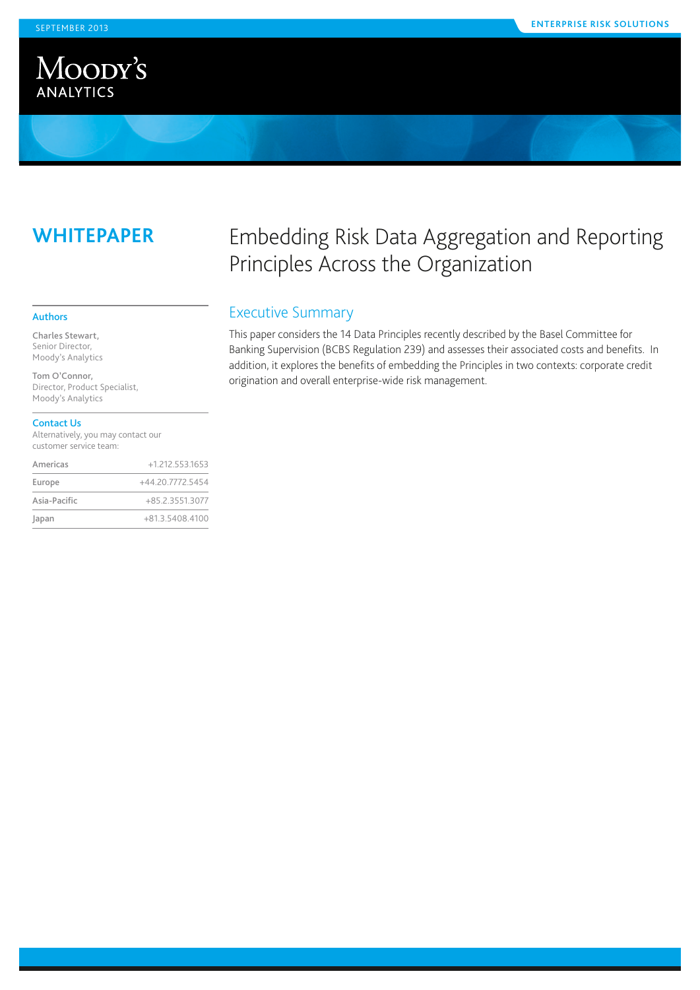

# **Whitepaper**

#### Authors

Charles Stewart, Senior Director, Moody's Analytics

Tom O'Connor, Director, Product Specialist, Moody's Analytics

#### Contact Us

Alternatively, you may contact our customer service team:

| Americas     | $+1$ 212 553 1653 |
|--------------|-------------------|
| Europe       | +44.20.7772.5454  |
| Asia-Pacific | +85.2.3551.3077   |
| Japan        | +81.3.5408.4100   |

# Embedding Risk Data Aggregation and Reporting Principles Across the Organization

## Executive Summary

This paper considers the 14 Data Principles recently described by the Basel Committee for Banking Supervision (BCBS Regulation 239) and assesses their associated costs and benefits. In addition, it explores the benefits of embedding the Principles in two contexts: corporate credit origination and overall enterprise-wide risk management.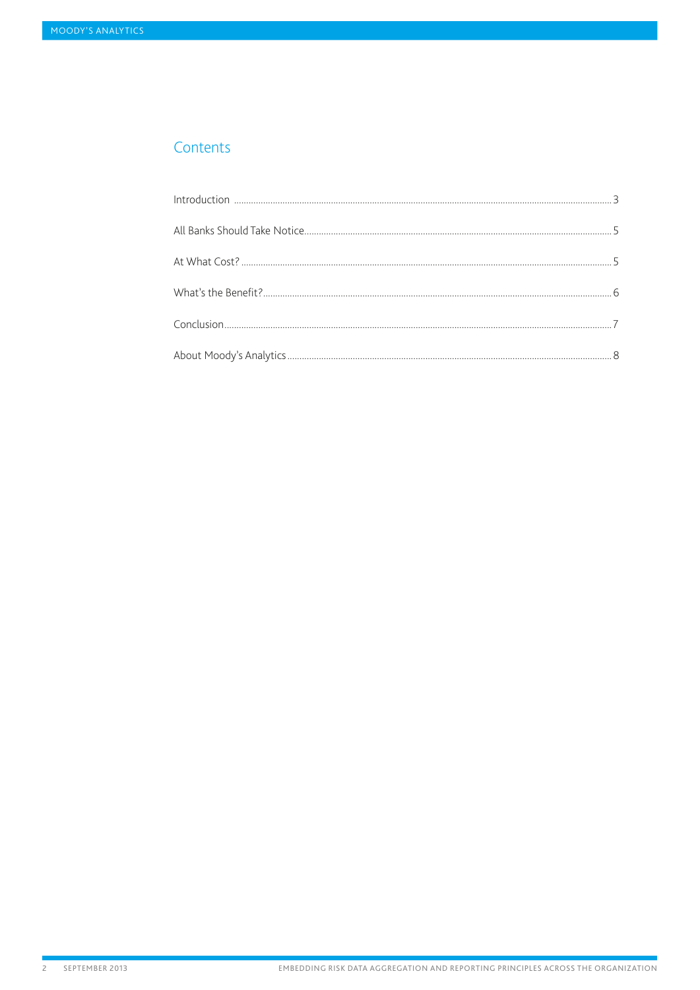## Contents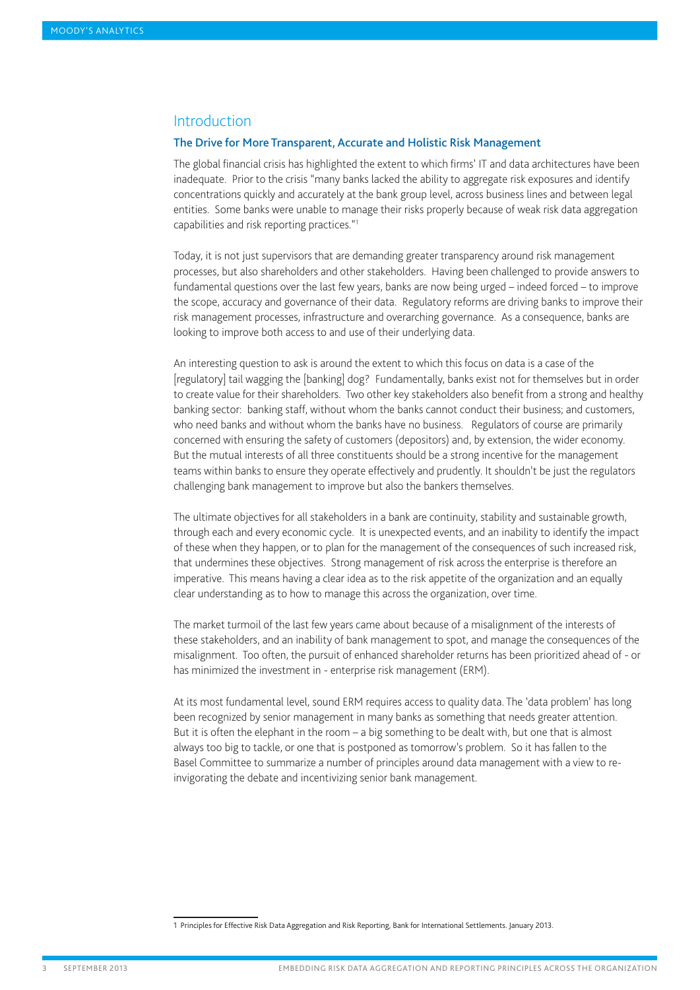## <span id="page-2-0"></span>**Introduction**

### The Drive for More Transparent, Accurate and Holistic Risk Management

The global financial crisis has highlighted the extent to which firms' IT and data architectures have been inadequate. Prior to the crisis "many banks lacked the ability to aggregate risk exposures and identify concentrations quickly and accurately at the bank group level, across business lines and between legal entities. Some banks were unable to manage their risks properly because of weak risk data aggregation capabilities and risk reporting practices."1

Today, it is not just supervisors that are demanding greater transparency around risk management processes, but also shareholders and other stakeholders. Having been challenged to provide answers to fundamental questions over the last few years, banks are now being urged – indeed forced – to improve the scope, accuracy and governance of their data. Regulatory reforms are driving banks to improve their risk management processes, infrastructure and overarching governance. As a consequence, banks are looking to improve both access to and use of their underlying data.

An interesting question to ask is around the extent to which this focus on data is a case of the [regulatory] tail wagging the [banking] dog? Fundamentally, banks exist not for themselves but in order to create value for their shareholders. Two other key stakeholders also benefit from a strong and healthy banking sector: banking staff, without whom the banks cannot conduct their business; and customers, who need banks and without whom the banks have no business. Regulators of course are primarily concerned with ensuring the safety of customers (depositors) and, by extension, the wider economy. But the mutual interests of all three constituents should be a strong incentive for the management teams within banks to ensure they operate effectively and prudently. It shouldn't be just the regulators challenging bank management to improve but also the bankers themselves.

The ultimate objectives for all stakeholders in a bank are continuity, stability and sustainable growth, through each and every economic cycle. It is unexpected events, and an inability to identify the impact of these when they happen, or to plan for the management of the consequences of such increased risk, that undermines these objectives. Strong management of risk across the enterprise is therefore an imperative. This means having a clear idea as to the risk appetite of the organization and an equally clear understanding as to how to manage this across the organization, over time.

The market turmoil of the last few years came about because of a misalignment of the interests of these stakeholders, and an inability of bank management to spot, and manage the consequences of the misalignment. Too often, the pursuit of enhanced shareholder returns has been prioritized ahead of - or has minimized the investment in - enterprise risk management (ERM).

At its most fundamental level, sound ERM requires access to quality data. The 'data problem' has long been recognized by senior management in many banks as something that needs greater attention. But it is often the elephant in the room – a big something to be dealt with, but one that is almost always too big to tackle, or one that is postponed as tomorrow's problem. So it has fallen to the Basel Committee to summarize a number of principles around data management with a view to reinvigorating the debate and incentivizing senior bank management.

<sup>1</sup> Principles for Effective Risk Data Aggregation and Risk Reporting, Bank for International Settlements. January 2013.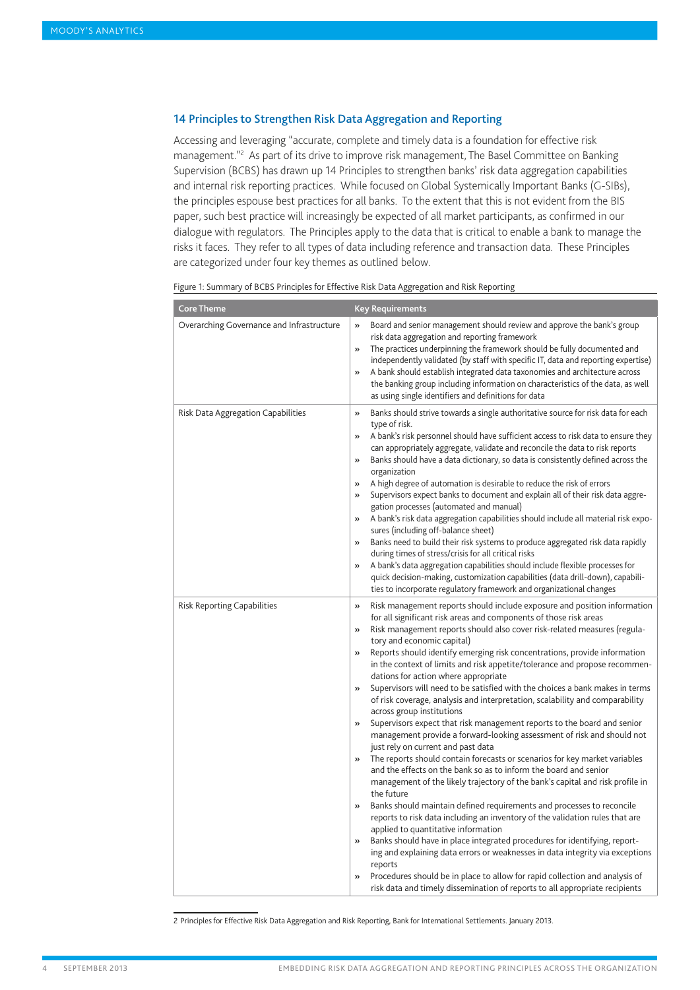## 14 Principles to Strengthen Risk Data Aggregation and Reporting

Accessing and leveraging "accurate, complete and timely data is a foundation for effective risk management."<sup>2</sup> As part of its drive to improve risk management, The Basel Committee on Banking Supervision (BCBS) has drawn up 14 Principles to strengthen banks' risk data aggregation capabilities and internal risk reporting practices. While focused on Global Systemically Important Banks (G-SIBs), the principles espouse best practices for all banks. To the extent that this is not evident from the BIS paper, such best practice will increasingly be expected of all market participants, as confirmed in our dialogue with regulators. The Principles apply to the data that is critical to enable a bank to manage the risks it faces. They refer to all types of data including reference and transaction data. These Principles are categorized under four key themes as outlined below.

| <b>Core Theme</b>                         | <b>Key Requirements</b>                                                                                                                                                                                                                                                                                                                                                                                                                                                                                                                                                                                                                                                                                                                                                                                                                                                                                                                                                                                                                                                                                                                                                                                                                                                                                                                                                                                                                                                                                                                                                                                                                                                                                                                                             |
|-------------------------------------------|---------------------------------------------------------------------------------------------------------------------------------------------------------------------------------------------------------------------------------------------------------------------------------------------------------------------------------------------------------------------------------------------------------------------------------------------------------------------------------------------------------------------------------------------------------------------------------------------------------------------------------------------------------------------------------------------------------------------------------------------------------------------------------------------------------------------------------------------------------------------------------------------------------------------------------------------------------------------------------------------------------------------------------------------------------------------------------------------------------------------------------------------------------------------------------------------------------------------------------------------------------------------------------------------------------------------------------------------------------------------------------------------------------------------------------------------------------------------------------------------------------------------------------------------------------------------------------------------------------------------------------------------------------------------------------------------------------------------------------------------------------------------|
| Overarching Governance and Infrastructure | Board and senior management should review and approve the bank's group<br>$\gg$<br>risk data aggregation and reporting framework<br>The practices underpinning the framework should be fully documented and<br>$\rightarrow$<br>independently validated (by staff with specific IT, data and reporting expertise)<br>A bank should establish integrated data taxonomies and architecture across<br>$\mathcal{V}$<br>the banking group including information on characteristics of the data, as well<br>as using single identifiers and definitions for data                                                                                                                                                                                                                                                                                                                                                                                                                                                                                                                                                                                                                                                                                                                                                                                                                                                                                                                                                                                                                                                                                                                                                                                                         |
| Risk Data Aggregation Capabilities        | Banks should strive towards a single authoritative source for risk data for each<br>$\mathcal{V}$<br>type of risk.<br>A bank's risk personnel should have sufficient access to risk data to ensure they<br>$\gg$<br>can appropriately aggregate, validate and reconcile the data to risk reports<br>Banks should have a data dictionary, so data is consistently defined across the<br>$\rightarrow$<br>organization<br>A high degree of automation is desirable to reduce the risk of errors<br>$\rightarrow$<br>Supervisors expect banks to document and explain all of their risk data aggre-<br>$\mathcal{V}$<br>gation processes (automated and manual)<br>A bank's risk data aggregation capabilities should include all material risk expo-<br>$\rightarrow$<br>sures (including off-balance sheet)<br>Banks need to build their risk systems to produce aggregated risk data rapidly<br>$\mathcal{V}$<br>during times of stress/crisis for all critical risks<br>A bank's data aggregation capabilities should include flexible processes for<br>$\rightarrow$<br>quick decision-making, customization capabilities (data drill-down), capabili-<br>ties to incorporate regulatory framework and organizational changes                                                                                                                                                                                                                                                                                                                                                                                                                                                                                                                                     |
| Risk Reporting Capabilities               | Risk management reports should include exposure and position information<br>$\rightarrow$<br>for all significant risk areas and components of those risk areas<br>Risk management reports should also cover risk-related measures (regula-<br>$\gg$<br>tory and economic capital)<br>Reports should identify emerging risk concentrations, provide information<br>$\mathcal{V}$<br>in the context of limits and risk appetite/tolerance and propose recommen-<br>dations for action where appropriate<br>Supervisors will need to be satisfied with the choices a bank makes in terms<br>$\rightarrow$<br>of risk coverage, analysis and interpretation, scalability and comparability<br>across group institutions<br>Supervisors expect that risk management reports to the board and senior<br>$\gg$<br>management provide a forward-looking assessment of risk and should not<br>just rely on current and past data<br>The reports should contain forecasts or scenarios for key market variables<br>$\gg$<br>and the effects on the bank so as to inform the board and senior<br>management of the likely trajectory of the bank's capital and risk profile in<br>the future<br>Banks should maintain defined requirements and processes to reconcile<br>$\rightarrow$<br>reports to risk data including an inventory of the validation rules that are<br>applied to quantitative information<br>Banks should have in place integrated procedures for identifying, report-<br>$\gg$<br>ing and explaining data errors or weaknesses in data integrity via exceptions<br>reports<br>Procedures should be in place to allow for rapid collection and analysis of<br>$\mathcal{V}$<br>risk data and timely dissemination of reports to all appropriate recipients |

Figure 1: Summary of BCBS Principles for Effective Risk Data Aggregation and Risk Reporting

2 Principles for Effective Risk Data Aggregation and Risk Reporting, Bank for International Settlements. January 2013.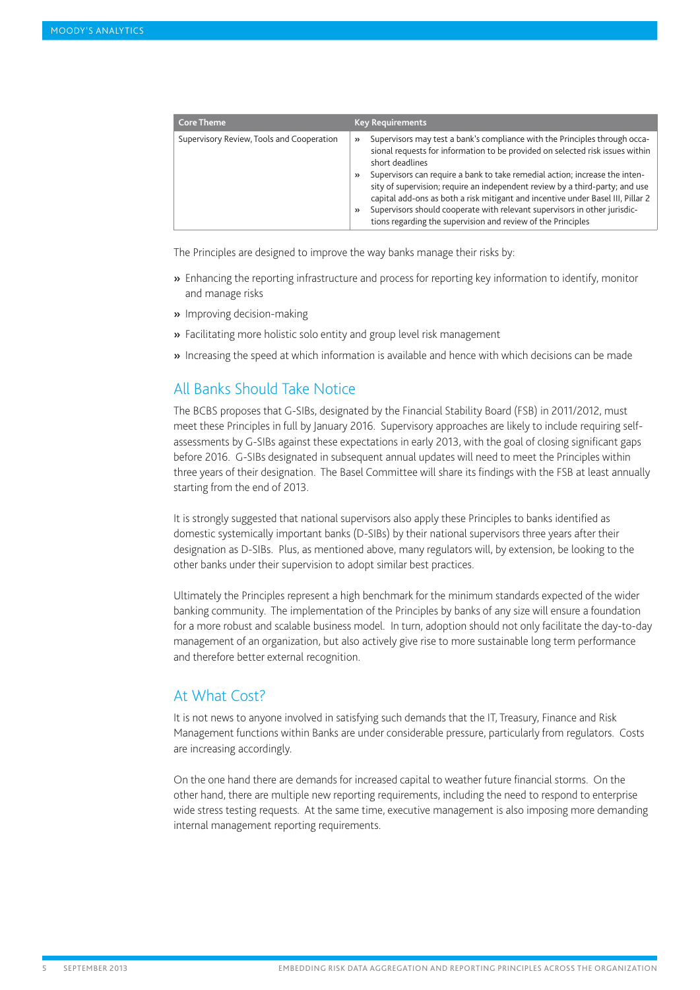<span id="page-4-0"></span>

| <b>Core Theme</b>                         | <b>Key Requirements</b>                                                                                                                                                                                                                                                                                                                                                                                                                                                                                                                                                                                                          |
|-------------------------------------------|----------------------------------------------------------------------------------------------------------------------------------------------------------------------------------------------------------------------------------------------------------------------------------------------------------------------------------------------------------------------------------------------------------------------------------------------------------------------------------------------------------------------------------------------------------------------------------------------------------------------------------|
| Supervisory Review, Tools and Cooperation | Supervisors may test a bank's compliance with the Principles through occa-<br>$\rightarrow$<br>sional requests for information to be provided on selected risk issues within<br>short deadlines<br>Supervisors can require a bank to take remedial action; increase the inten-<br>$\rightarrow$<br>sity of supervision; require an independent review by a third-party; and use<br>capital add-ons as both a risk mitigant and incentive under Basel III, Pillar 2<br>Supervisors should cooperate with relevant supervisors in other jurisdic-<br>$\rightarrow$<br>tions regarding the supervision and review of the Principles |

The Principles are designed to improve the way banks manage their risks by:

- » Enhancing the reporting infrastructure and process for reporting key information to identify, monitor and manage risks
- » Improving decision-making
- » Facilitating more holistic solo entity and group level risk management
- » Increasing the speed at which information is available and hence with which decisions can be made

# All Banks Should Take Notice

The BCBS proposes that G-SIBs, designated by the Financial Stability Board (FSB) in 2011/2012, must meet these Principles in full by January 2016. Supervisory approaches are likely to include requiring selfassessments by G-SIBs against these expectations in early 2013, with the goal of closing significant gaps before 2016. G-SIBs designated in subsequent annual updates will need to meet the Principles within three years of their designation. The Basel Committee will share its findings with the FSB at least annually starting from the end of 2013.

It is strongly suggested that national supervisors also apply these Principles to banks identified as domestic systemically important banks (D-SIBs) by their national supervisors three years after their designation as D-SIBs. Plus, as mentioned above, many regulators will, by extension, be looking to the other banks under their supervision to adopt similar best practices.

Ultimately the Principles represent a high benchmark for the minimum standards expected of the wider banking community. The implementation of the Principles by banks of any size will ensure a foundation for a more robust and scalable business model. In turn, adoption should not only facilitate the day-to-day management of an organization, but also actively give rise to more sustainable long term performance and therefore better external recognition.

## At What Cost?

It is not news to anyone involved in satisfying such demands that the IT, Treasury, Finance and Risk Management functions within Banks are under considerable pressure, particularly from regulators. Costs are increasing accordingly.

On the one hand there are demands for increased capital to weather future financial storms. On the other hand, there are multiple new reporting requirements, including the need to respond to enterprise wide stress testing requests. At the same time, executive management is also imposing more demanding internal management reporting requirements.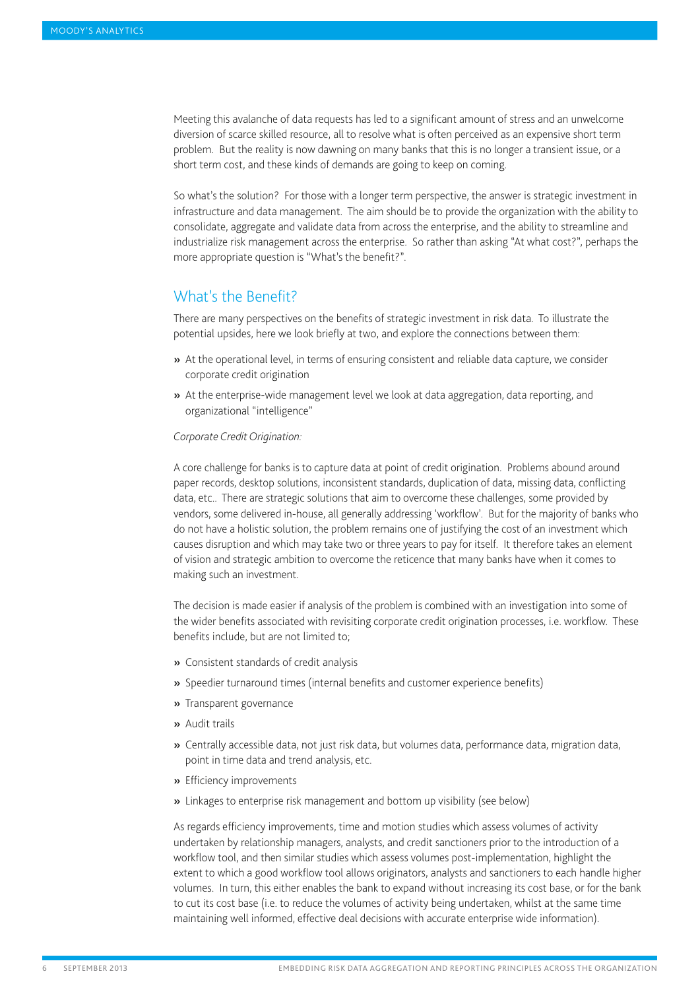<span id="page-5-0"></span>Meeting this avalanche of data requests has led to a significant amount of stress and an unwelcome diversion of scarce skilled resource, all to resolve what is often perceived as an expensive short term problem. But the reality is now dawning on many banks that this is no longer a transient issue, or a short term cost, and these kinds of demands are going to keep on coming.

So what's the solution? For those with a longer term perspective, the answer is strategic investment in infrastructure and data management. The aim should be to provide the organization with the ability to consolidate, aggregate and validate data from across the enterprise, and the ability to streamline and industrialize risk management across the enterprise. So rather than asking "At what cost?", perhaps the more appropriate question is "What's the benefit?".

# What's the Benefit?

There are many perspectives on the benefits of strategic investment in risk data. To illustrate the potential upsides, here we look briefly at two, and explore the connections between them:

- » At the operational level, in terms of ensuring consistent and reliable data capture, we consider corporate credit origination
- » At the enterprise-wide management level we look at data aggregation, data reporting, and organizational "intelligence"

## *Corporate Credit Origination:*

A core challenge for banks is to capture data at point of credit origination. Problems abound around paper records, desktop solutions, inconsistent standards, duplication of data, missing data, conflicting data, etc.. There are strategic solutions that aim to overcome these challenges, some provided by vendors, some delivered in-house, all generally addressing 'workflow'. But for the majority of banks who do not have a holistic solution, the problem remains one of justifying the cost of an investment which causes disruption and which may take two or three years to pay for itself. It therefore takes an element of vision and strategic ambition to overcome the reticence that many banks have when it comes to making such an investment.

The decision is made easier if analysis of the problem is combined with an investigation into some of the wider benefits associated with revisiting corporate credit origination processes, i.e. workflow. These benefits include, but are not limited to;

- » Consistent standards of credit analysis
- » Speedier turnaround times (internal benefits and customer experience benefits)
- » Transparent governance
- » Audit trails
- » Centrally accessible data, not just risk data, but volumes data, performance data, migration data, point in time data and trend analysis, etc.
- » Efficiency improvements
- » Linkages to enterprise risk management and bottom up visibility (see below)

As regards efficiency improvements, time and motion studies which assess volumes of activity undertaken by relationship managers, analysts, and credit sanctioners prior to the introduction of a workflow tool, and then similar studies which assess volumes post-implementation, highlight the extent to which a good workflow tool allows originators, analysts and sanctioners to each handle higher volumes. In turn, this either enables the bank to expand without increasing its cost base, or for the bank to cut its cost base (i.e. to reduce the volumes of activity being undertaken, whilst at the same time maintaining well informed, effective deal decisions with accurate enterprise wide information).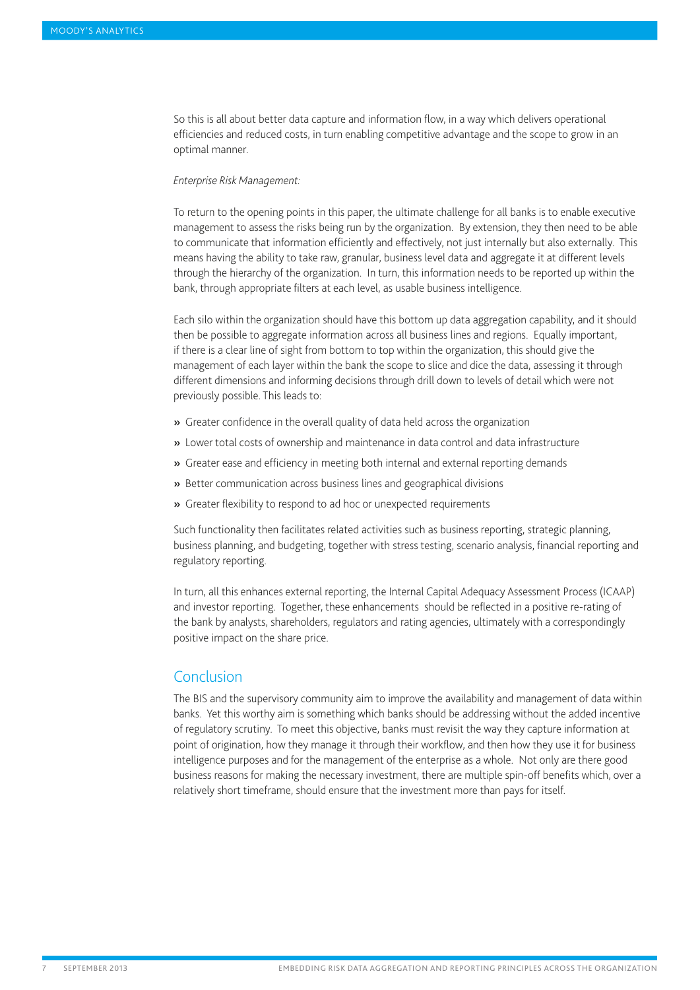<span id="page-6-0"></span>So this is all about better data capture and information flow, in a way which delivers operational efficiencies and reduced costs, in turn enabling competitive advantage and the scope to grow in an optimal manner.

## *Enterprise Risk Management:*

To return to the opening points in this paper, the ultimate challenge for all banks is to enable executive management to assess the risks being run by the organization. By extension, they then need to be able to communicate that information efficiently and effectively, not just internally but also externally. This means having the ability to take raw, granular, business level data and aggregate it at different levels through the hierarchy of the organization. In turn, this information needs to be reported up within the bank, through appropriate filters at each level, as usable business intelligence.

Each silo within the organization should have this bottom up data aggregation capability, and it should then be possible to aggregate information across all business lines and regions. Equally important, if there is a clear line of sight from bottom to top within the organization, this should give the management of each layer within the bank the scope to slice and dice the data, assessing it through different dimensions and informing decisions through drill down to levels of detail which were not previously possible. This leads to:

- » Greater confidence in the overall quality of data held across the organization
- » Lower total costs of ownership and maintenance in data control and data infrastructure
- » Greater ease and efficiency in meeting both internal and external reporting demands
- » Better communication across business lines and geographical divisions
- » Greater flexibility to respond to ad hoc or unexpected requirements

Such functionality then facilitates related activities such as business reporting, strategic planning, business planning, and budgeting, together with stress testing, scenario analysis, financial reporting and regulatory reporting.

In turn, all this enhances external reporting, the Internal Capital Adequacy Assessment Process (ICAAP) and investor reporting. Together, these enhancements should be reflected in a positive re-rating of the bank by analysts, shareholders, regulators and rating agencies, ultimately with a correspondingly positive impact on the share price.

## Conclusion

The BIS and the supervisory community aim to improve the availability and management of data within banks. Yet this worthy aim is something which banks should be addressing without the added incentive of regulatory scrutiny. To meet this objective, banks must revisit the way they capture information at point of origination, how they manage it through their workflow, and then how they use it for business intelligence purposes and for the management of the enterprise as a whole. Not only are there good business reasons for making the necessary investment, there are multiple spin-off benefits which, over a relatively short timeframe, should ensure that the investment more than pays for itself.